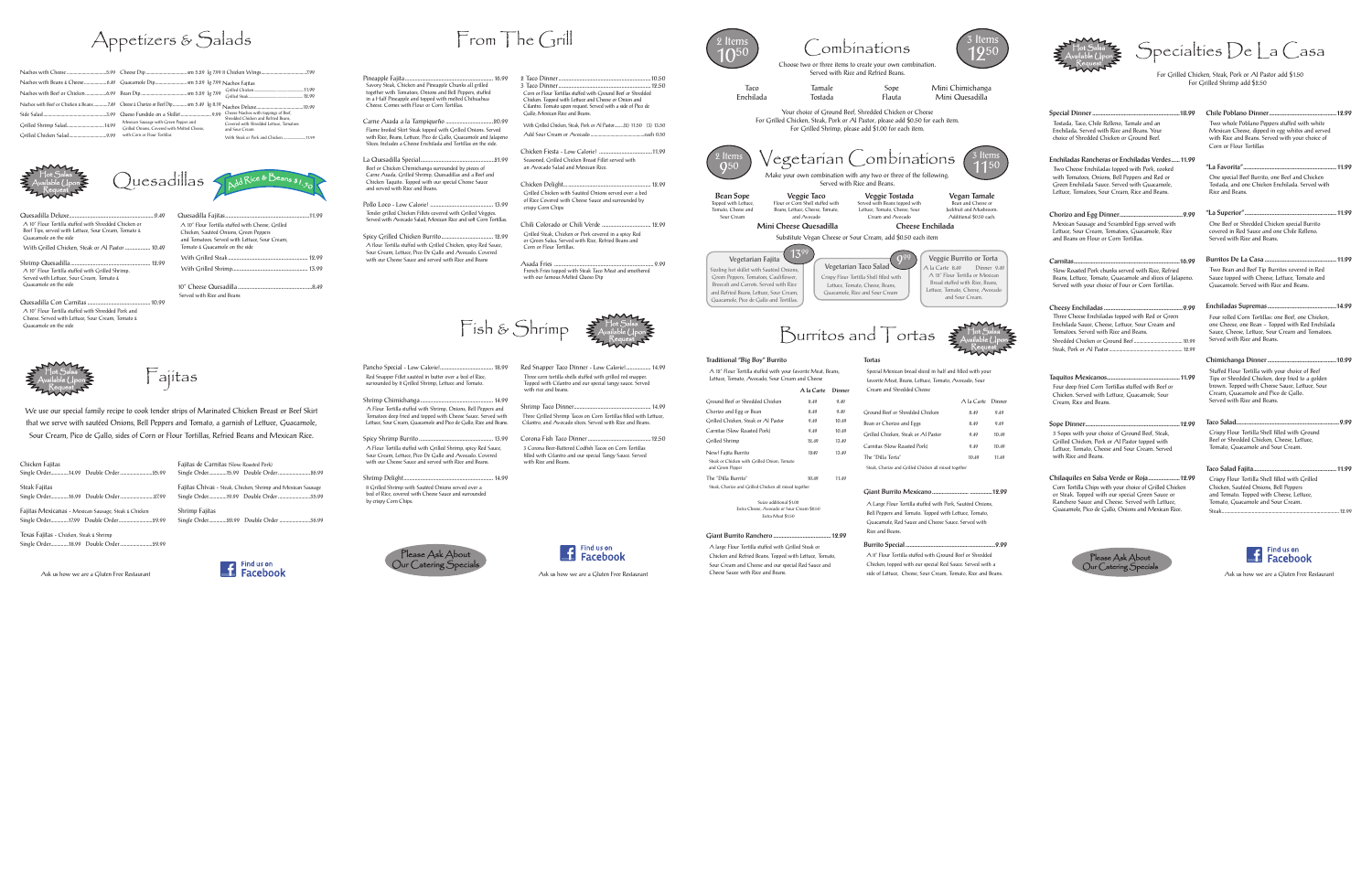

Pineapple Fajita............................................................... 16.99 Savory Steak, Chicken and Pineapple Chunks all grilled together with Tomatoes, Onions and Bell Peppers, stuffed in a Half Pineapple and topped with melted Chihuahua Cheese. Comes with Flour or Corn Tortillas.

Carne Asada a la Tampiqueño ..................................20.99

Spicy Grilled Chicken Burrito..................................... 12.99 A flour Tortilla stuffed with Grilled Chicken, spicy Red Sauce, Sour Cream, Lettuce, Pico De Gallo and Avocado. Covered with our Cheese Sauce and served with Rice and Beans

 Flame broiled Skirt Steak topped with Grilled Onions. Served with Rice, Beans, Lettuce, Pico de Gallo, Guacamole and Jalapeno Slices. Includes a Cheese Enchilada and Tortillas on the side. La Quesadilla Special.....................................................21.99 Beef or Chicken Chimichanga surrounded by pieces of Carne Asada, Grilled Shrimp, Quesadillas and a Beef and Chicken Taquito. Topped with our special Cheese Sauce and served with Rice and Beans.

> Pollo Loco - Low Calorie! ............................................. 13.99 Tender grilled Chicken Fillets covered with Grilled Veggies. Served with Avocado Salad, Mexican Rice and soft Corn Tortillas.

Pancho Special - Low Calorie!...................................... 18.99 Red Snapper Fillet sautéed in butter over a bed of Rice, unded by 8 Grilled Shrimp, Lettuce and Tomato

Fajitas Mexicanas - Mexican Sausage, Steak & Chicken Single Order..............17.99 Double Order..........................29.99 Single Order................20.99 Double Order ............

Shrimp Quesadilla. A 10" Flour Tortilla stuffed with Grilled Shrimp. Served with Lettuce, Sour Cream, Tomato &

Quesadilla Con Carnitas .............................................10.99 A 10" Flour Tortilla stuffed with Shredded Pork and Cheese. Served with Lettuce, Sour Cream, Tomato & Guacamole on the side

> Shrimp Chimichanga.................................................... 14.99 A Flour Tortilla stuffed with Shrimp, Onions, Bell Peppers and Tomatoes deep fried and topped with Cheese Sauce. Served with Lettuce, Sour Cream, Guacamole and Pico de Gallo, Rice and Beans.

Spicy Shrimp Burrito ..................................................... 13.99 A Flour Tortilla stuffed with Grilled Shrimp, spicy Red Sauce, Sour Cream, Lettuce, Pico De Gallo and Avocado. Covered with our Cheese Sauce and served with Rice and Beans.

#### 10" Cheese Quesadilla. Served with Rice and Beans

Shrimp Delight................................................................ 14.99 8 Grilled Shrimp with Sautéed Onions served over a bed of Rice, covered with Cheese Sauce and surrounded by crispy Corn Chips.

Red Snapper Taco Dinner - Low Calorie!.................. 14.99 Three corn tortilla shells stuffed with grilled red snapper. Topped with Cilantro and our special tangy sauce. Served with rice and beans.

Shrimp Taco Dinner....................................................... 14.99 Three Grilled Shrimp Tacos on Corn Tortillas filled with Lettuce, Cilantro, and Avocado slices. Served with Rice and Beans.

Corona Fish Taco Dinner.............................................12.50 3 Corona Beer-Battered Codfish Tacos on Corn Tortillas filled with Cilantro and our special Tangy Sauce. Served with Rice and Beans.

Find us on

Grilled Shrimp 12.49 13.49 New! Fajita Burrito 1249 13.49 Steak or Chicken with Grilled Onion, Tomato and Green Pepper

Fajitas

Chicken Fajitas

Steak Fajitas

Texas Fajitas - Chicken, Steak & Shrimp Single Order..............18.99 Double Order.........................29.99

Single Order..............16.99 Double Order..........................27.99 Fajitas Chivas - Steak, Chicken, Shrimp and Mexican Sausage Single Order..............19.99 Double Order.........................35.99 Shrimp Fajitas

Single Order..............14.99 Double Order.........................25.99 Fajitas de Carnitas (Slow Roasted Pork) Single Order...............15.99 Double Order....... that we serve with sautéed Onions, Bell Peppers and Tomato, a garnish of Lettuce, Guacamole, Sour Cream, Pico de Gallo, sides of Corn or Flour Tortillas, Refried Beans and Mexican Rice.

Hot Salsa Available Upon Request

We use our special family recipe to cook tender strips of Marinated Chicken Breast or Beef Skirt

Ask us how we are a Gluten Free Restaurant



**1** Find us on

From The Grill

Quesadilla Deluxe.............................................................9.49 A 10" Flour Tortilla stuffed with Shredded Chicken or Beef Tips, served with Lettuce, Sour Cream, Tomato & Guacamole on the side With Grilled Chicken, Steak or Al Pastor .................. 10.49

Guacamole on the side





Quesadilla Fajitas............................................................11.99 A 10" Flour Tortilla stuffed with Cheese, Grilled Chicken, Sautéed Onions, Green Peppers and Tomatoes. Served with Lettuce, Sour Cream, Tomato & Guacamole on the side With Grilled Steak ......................................................... 12.99 With Grilled Shrimp...................................................... 13.99

> Ground Beef or Shredded Chicken 8.49 9.49 Chorizo and Egg or Bean 8.49 9.49 Grilled Chicken, Steak or Al Pastor 9.49 10.49 Carnitas (Slow Roasted Pork) 9.49 10.49

# Appetizers & Salads

|                                                                                      | Cheese Nachos with toppings of Beef,<br>Shredded Chicken and Refried Beans. |
|--------------------------------------------------------------------------------------|-----------------------------------------------------------------------------|
| Mexican Sausage with Green Pepper and<br>Crilled Onions. Covered with Melted Cheese. | Covered with Shredded Lettuce. Tomatoes<br>and Sour Cream                   |
| with Corn or Flour Tortillas                                                         | With Steak or Pork and Chicken 11.99                                        |



Ask us how we are a Gluten Free Restaurant Cheese Sauce with Rice and Beans. Side of Lettuce, Cheese, Sour Cream, Tomato, Rice and Beans. Ask us how we are a Gluten Free Restaurant Cheese Sauce with Rice and Beans. A 8" Flour Tortilla stuffed with Ground Beef or Shredded Chicken, topped with our special Red Sauce. Served with a side of Lettuce, Cheese, Sour Cream, Tomato, Rice and Beans.

|                                                                                                                                                                             | $\mathop{\rm Spec}\nolimits$ ialties ${\rm De}\, \lfloor$ a ${\rm Casa}\,$                                                                                                                                                  |  |
|-----------------------------------------------------------------------------------------------------------------------------------------------------------------------------|-----------------------------------------------------------------------------------------------------------------------------------------------------------------------------------------------------------------------------|--|
|                                                                                                                                                                             | For Grilled Chicken, Steak, Pork or Al Pastor add \$1.50<br>For Crilled Shrimp add \$2.50                                                                                                                                   |  |
|                                                                                                                                                                             |                                                                                                                                                                                                                             |  |
| Tostada, Taco, Chile Relleno, Tamale and an<br>Enchilada. Served with Rice and Beans. Your<br>choice of Shredded Chicken or Ground Beef.                                    | Two whole Poblano Peppers stuffed with white<br>Mexican Cheese, dipped in egg whites and served<br>with Rice and Beans. Served with your choice of<br>Corn or Flour Tortillas                                               |  |
| Enchiladas Rancheras or Enchiladas Verdes11.99                                                                                                                              |                                                                                                                                                                                                                             |  |
| Two Cheese Enchiladas topped with Pork, cooked                                                                                                                              |                                                                                                                                                                                                                             |  |
| with Tomatoes, Onions, Bell Peppers and Red or<br>Green Enchilada Sauce. Served with Guacamole,<br>Lettuce, Tomatoes, Sour Cream, Rice and Beans.                           | One special Beef Burrito, one Beef and Chicken<br>Tostada, and one Chicken Enchilada. Served with<br>Rice and Beans.                                                                                                        |  |
|                                                                                                                                                                             |                                                                                                                                                                                                                             |  |
| Mexican Sausage and Scrambled Eggs served with<br>Lettuce, Sour Cream, Tomatoes, Cruacamole, Rice<br>and Beans on Flour or Corn Tortillas.                                  | One Beef or Shredded Chicken special Burrito<br>covered in Red Sauce and one Chile Relleno.<br>Served with Rice and Beans.                                                                                                  |  |
|                                                                                                                                                                             |                                                                                                                                                                                                                             |  |
| Slow Roasted Pork chunks served with Rice. Refried<br>Beans, Lettuce, Tomato, Cuacamole and slices of Jalapeno.<br>Served with your choice of Four or Corn Tortillas.       | Two Bean and Beef Tip Burritos covered in Red<br>Sauce topped with Cheese, Lettuce, Tomato and<br>Guacamole, Served with Rice and Beans.                                                                                    |  |
|                                                                                                                                                                             |                                                                                                                                                                                                                             |  |
| Three Cheese Enchiladas topped with Red or Creen<br>Enchilada Sauce, Cheese, Lettuce, Sour Cream and<br>Tomatoes. Served with Rice and Beans.                               | Four rolled Corn Tortillas: one Beef, one Chicken,<br>one Cheese, one Bean - Topped with Red Enchilada<br>Sauce, Cheese, Lettuce, Sour Cream and Tomatoes.<br>Served with Rice and Beans.                                   |  |
|                                                                                                                                                                             |                                                                                                                                                                                                                             |  |
| Four deep fried Corn Tortillas stuffed with Beef or<br>Chicken. Served with Lettuce, Cruacamole, Sour<br>Cream. Rice and Beans.                                             | Stuffed Flour Tortilla with your choice of Beef<br>Tips or Shredded Chicken, deep fried to a golden<br>brown. Topped with Cheese Sauce, Lettuce, Sour<br>Cream, Guacamole and Pico de Gallo.<br>Served with Rice and Beans. |  |
|                                                                                                                                                                             |                                                                                                                                                                                                                             |  |
| 3 Sopes with your choice of Cround Beef, Steak,<br>Crilled Chicken, Pork or Al Pastor topped with<br>Lettuce, Tomato, Cheese and Sour Cream. Served<br>with Rice and Beans. | Crispy Flour Tortilla Shell filled with Ground<br>Beef or Shredded Chicken, Cheese, Lettuce,<br>Tomato, Cuacamole and Sour Cream.                                                                                           |  |
|                                                                                                                                                                             |                                                                                                                                                                                                                             |  |
| Corn Tortilla Chips with your choice of Crilled Chicken<br>or Steak. Topped with our special Green Sauce or                                                                 | Crispy Flour Tortilla Shell filled with Crilled<br>Chicken, Sautéed Onions, Bell Peppers<br>and Tomato. Topped with Cheese, Lettuce,                                                                                        |  |

Ranchero Sauce and Cheese. Served with Lettuce, Guacamole, Pico de Gallo, Onions and Mexican Rice. Tomato, Guacamole and Sour Cream.

Steak.............................................................................................. 12.99

1250

2 Items

Sope Flauta Mini Chimichanga Mini Quesadilla

> Vegan Tamale Bean and Cheese or Jackfruit and Mush Additional \$0.50 each.

Veggie Burrito or Torta A la Carte 8.49 Dinner 9.49 A 12" Flour Tortilla or Mexican Bread stuffed with Rice, Beans, Lettuce, Tomato, Cheese, Avocado and Sour Cream.

3 Items 1150



Find us on<br>
Facebook

Available Upon Request

 A 12" Flour Tortilla stuffed with your favorite Meat, Beans, Lettuce, Tomato, Avocado, Sour Cream and Cheese

A la Carte Dinner

 Steak, Chorizo and Grilled Chicken all mixed together Suizo additional \$1.00 Extra Cheese, Avocado or Sour Cream \$0.50 Extra Meat \$1.50

#### Giant Burrito Ranchero ......................................... 12.99

A large Flour Tortilla stuffed with Grilled Steak or Chicken and Refried Beans. Topped with Lettuce, Tomato, Sour Cream and Cheese and our special Red Sauce and Cheese Sauce with Rice and Beans.

Torta Special Mexican bread sliced in half and filled with your favorite Meat, Beans, Lettuce, Tomato, Avocado, Sour Cream and Shredded Cheese A la Carte Dinne

| Ground Beef or Shredded Chicken                       | 8.49  | 9.49  |
|-------------------------------------------------------|-------|-------|
| Bean or Chorizo and Eggs                              | 8.49  | 9.49  |
| Crilled Chicken, Steak or Al Pastor                   | 9.49  | 10.49 |
| Carnitas (Slow Roasted Pork)                          | 9.49  | 10.49 |
| The "Dilla Torta"                                     | 10.49 | 11.49 |
| Steak, Chorizo and Crilled Chicken all mixed together |       |       |

The "Dilla Burrito" 10.49 11.49

#### Giant Burrito Mexicano.......................... ................12.99 A Large Flour Tortilla stuffed with Pork, Sautéed Onions, Bell Peppers and Tomato. Topped with Lettuce, Tomato,

 Guacamole, Red Sauce and Cheese Sauce. Served with Rice and Beans. Burrito Special................................................................9.99